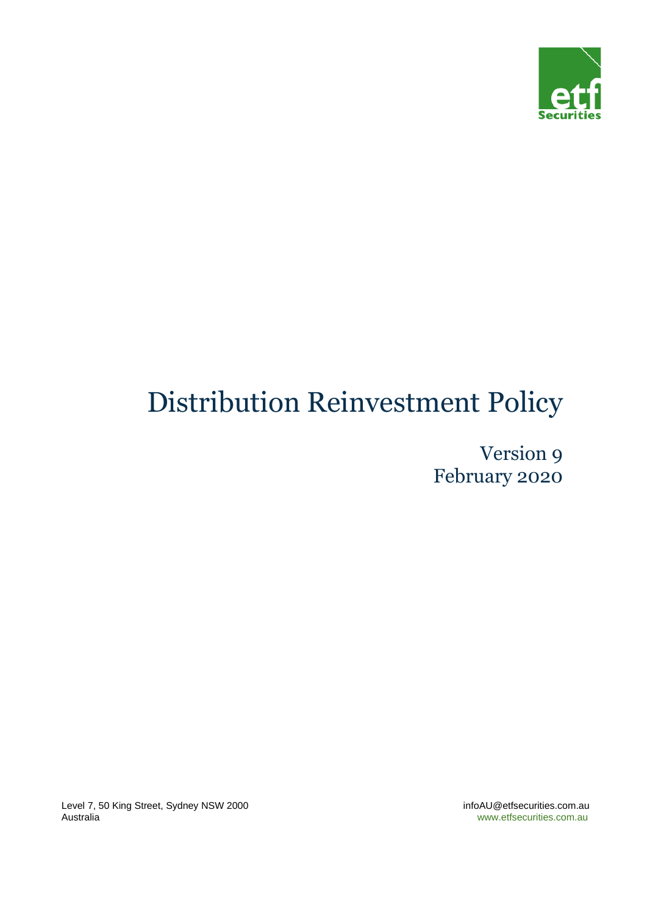

# Distribution Reinvestment Policy

Version 9 February 2020

Level 7, 50 King Street, Sydney NSW 2000 **infoAU@etfsecurities.com.au**<br>Australia infoAU@etfsecurities.com.au

www.etfsecurities.com.au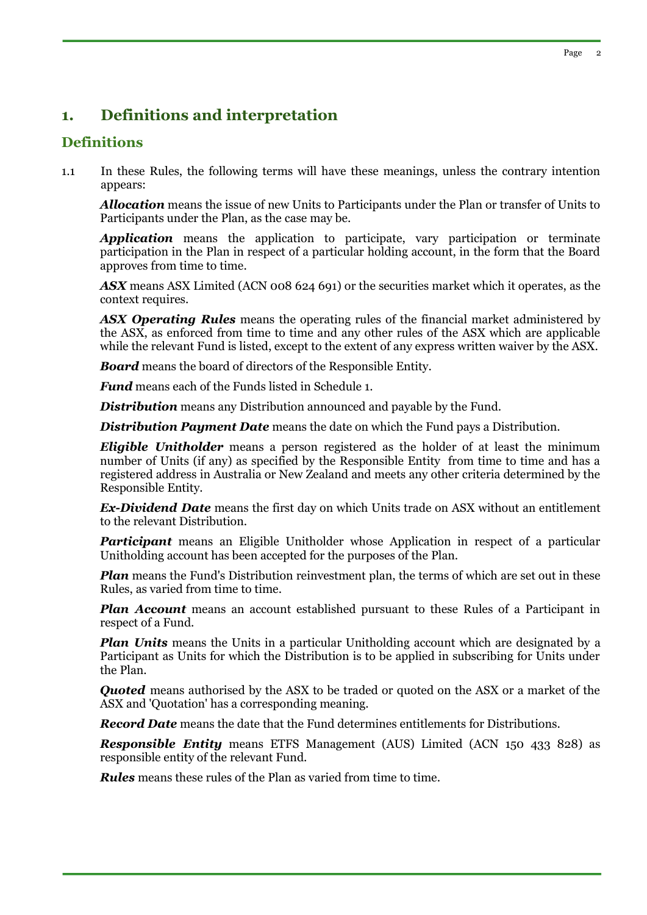# **1. Definitions and interpretation**

## **Definitions**

1.1 In these Rules, the following terms will have these meanings, unless the contrary intention appears:

*Allocation* means the issue of new Units to Participants under the Plan or transfer of Units to Participants under the Plan, as the case may be.

*Application* means the application to participate, vary participation or terminate participation in the Plan in respect of a particular holding account, in the form that the Board approves from time to time.

*ASX* means ASX Limited (ACN 008 624 691) or the securities market which it operates, as the context requires.

*ASX Operating Rules* means the operating rules of the financial market administered by the ASX, as enforced from time to time and any other rules of the ASX which are applicable while the relevant Fund is listed, except to the extent of any express written waiver by the ASX.

*Board* means the board of directors of the Responsible Entity.

*Fund* means each of the Funds listed in Schedule 1.

**Distribution** means any Distribution announced and payable by the Fund.

*Distribution Payment Date* means the date on which the Fund pays a Distribution.

*Eligible Unitholder* means a person registered as the holder of at least the minimum number of Units (if any) as specified by the Responsible Entity from time to time and has a registered address in Australia or New Zealand and meets any other criteria determined by the Responsible Entity.

*Ex-Dividend Date* means the first day on which Units trade on ASX without an entitlement to the relevant Distribution.

*Participant* means an Eligible Unitholder whose Application in respect of a particular Unitholding account has been accepted for the purposes of the Plan.

*Plan* means the Fund's Distribution reinvestment plan, the terms of which are set out in these Rules, as varied from time to time.

*Plan Account* means an account established pursuant to these Rules of a Participant in respect of a Fund.

*Plan Units* means the Units in a particular Unitholding account which are designated by a Participant as Units for which the Distribution is to be applied in subscribing for Units under the Plan.

**Quoted** means authorised by the ASX to be traded or quoted on the ASX or a market of the ASX and 'Quotation' has a corresponding meaning.

*Record Date* means the date that the Fund determines entitlements for Distributions.

*Responsible Entity* means ETFS Management (AUS) Limited (ACN 150 433 828) as responsible entity of the relevant Fund.

*Rules* means these rules of the Plan as varied from time to time.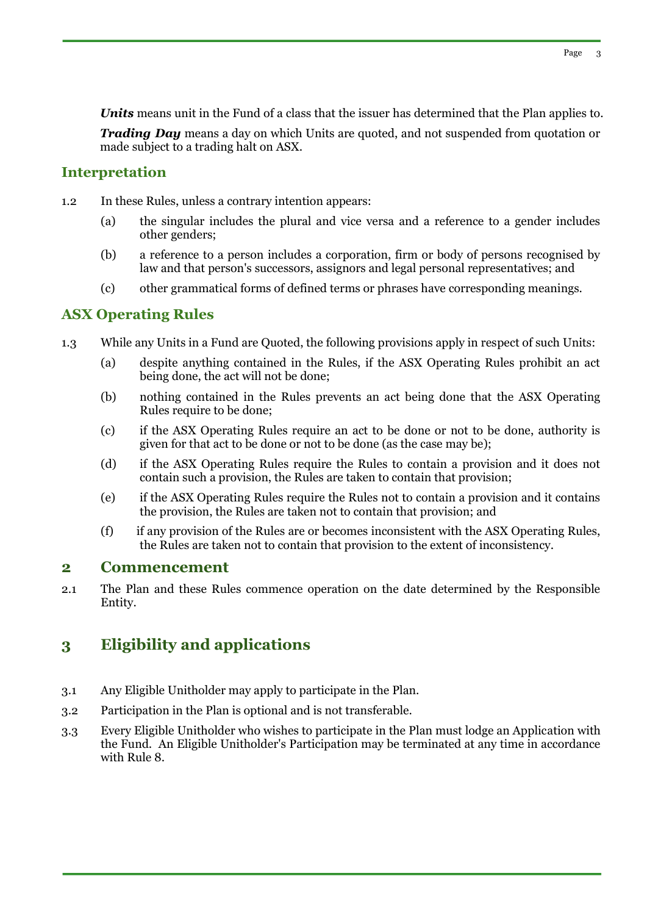*Units* means unit in the Fund of a class that the issuer has determined that the Plan applies to.

*Trading Day* means a day on which Units are quoted, and not suspended from quotation or made subject to a trading halt on ASX.

# **Interpretation**

- 1.2 In these Rules, unless a contrary intention appears:
	- (a) the singular includes the plural and vice versa and a reference to a gender includes other genders;
	- (b) a reference to a person includes a corporation, firm or body of persons recognised by law and that person's successors, assignors and legal personal representatives; and
	- (c) other grammatical forms of defined terms or phrases have corresponding meanings.

# **ASX Operating Rules**

- 1.3 While any Units in a Fund are Quoted, the following provisions apply in respect of such Units:
	- (a) despite anything contained in the Rules, if the ASX Operating Rules prohibit an act being done, the act will not be done;
	- (b) nothing contained in the Rules prevents an act being done that the ASX Operating Rules require to be done;
	- (c) if the ASX Operating Rules require an act to be done or not to be done, authority is given for that act to be done or not to be done (as the case may be);
	- (d) if the ASX Operating Rules require the Rules to contain a provision and it does not contain such a provision, the Rules are taken to contain that provision;
	- (e) if the ASX Operating Rules require the Rules not to contain a provision and it contains the provision, the Rules are taken not to contain that provision; and
	- (f) if any provision of the Rules are or becomes inconsistent with the ASX Operating Rules, the Rules are taken not to contain that provision to the extent of inconsistency.

# **2 Commencement**

2.1 The Plan and these Rules commence operation on the date determined by the Responsible Entity.

# **3 Eligibility and applications**

- 3.1 Any Eligible Unitholder may apply to participate in the Plan.
- 3.2 Participation in the Plan is optional and is not transferable.
- 3.3 Every Eligible Unitholder who wishes to participate in the Plan must lodge an Application with the Fund. An Eligible Unitholder's Participation may be terminated at any time in accordance with Rule 8.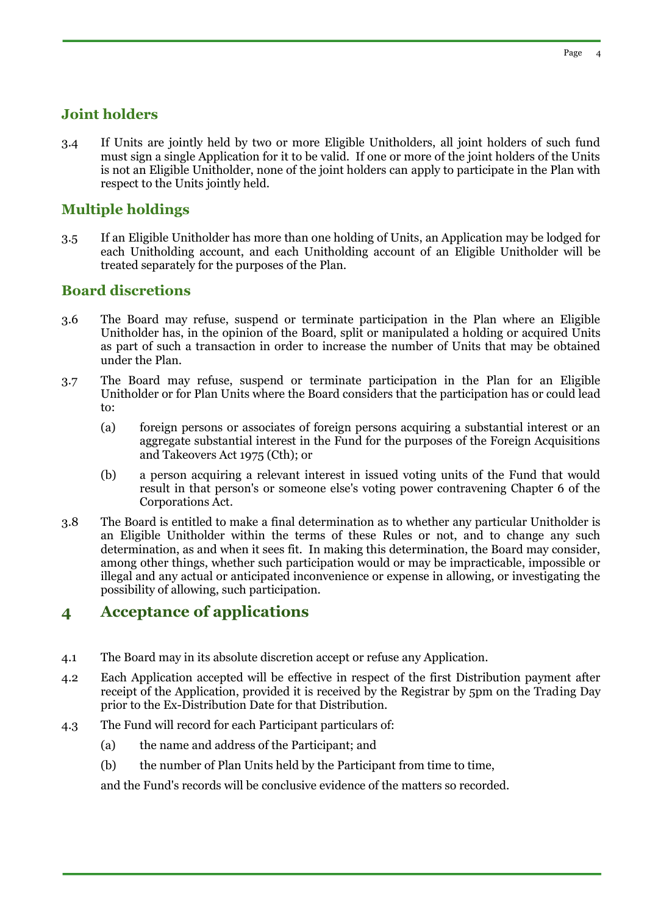# **Joint holders**

3.4 If Units are jointly held by two or more Eligible Unitholders, all joint holders of such fund must sign a single Application for it to be valid. If one or more of the joint holders of the Units is not an Eligible Unitholder, none of the joint holders can apply to participate in the Plan with respect to the Units jointly held.

# **Multiple holdings**

3.5 If an Eligible Unitholder has more than one holding of Units, an Application may be lodged for each Unitholding account, and each Unitholding account of an Eligible Unitholder will be treated separately for the purposes of the Plan.

## **Board discretions**

- 3.6 The Board may refuse, suspend or terminate participation in the Plan where an Eligible Unitholder has, in the opinion of the Board, split or manipulated a holding or acquired Units as part of such a transaction in order to increase the number of Units that may be obtained under the Plan.
- 3.7 The Board may refuse, suspend or terminate participation in the Plan for an Eligible Unitholder or for Plan Units where the Board considers that the participation has or could lead to:
	- (a) foreign persons or associates of foreign persons acquiring a substantial interest or an aggregate substantial interest in the Fund for the purposes of the Foreign Acquisitions and Takeovers Act 1975 (Cth); or
	- (b) a person acquiring a relevant interest in issued voting units of the Fund that would result in that person's or someone else's voting power contravening Chapter 6 of the Corporations Act.
- 3.8 The Board is entitled to make a final determination as to whether any particular Unitholder is an Eligible Unitholder within the terms of these Rules or not, and to change any such determination, as and when it sees fit. In making this determination, the Board may consider, among other things, whether such participation would or may be impracticable, impossible or illegal and any actual or anticipated inconvenience or expense in allowing, or investigating the possibility of allowing, such participation.

# **4 Acceptance of applications**

- 4.1 The Board may in its absolute discretion accept or refuse any Application.
- 4.2 Each Application accepted will be effective in respect of the first Distribution payment after receipt of the Application, provided it is received by the Registrar by 5pm on the Trading Day prior to the Ex-Distribution Date for that Distribution.
- 4.3 The Fund will record for each Participant particulars of:
	- (a) the name and address of the Participant; and
	- (b) the number of Plan Units held by the Participant from time to time,

and the Fund's records will be conclusive evidence of the matters so recorded.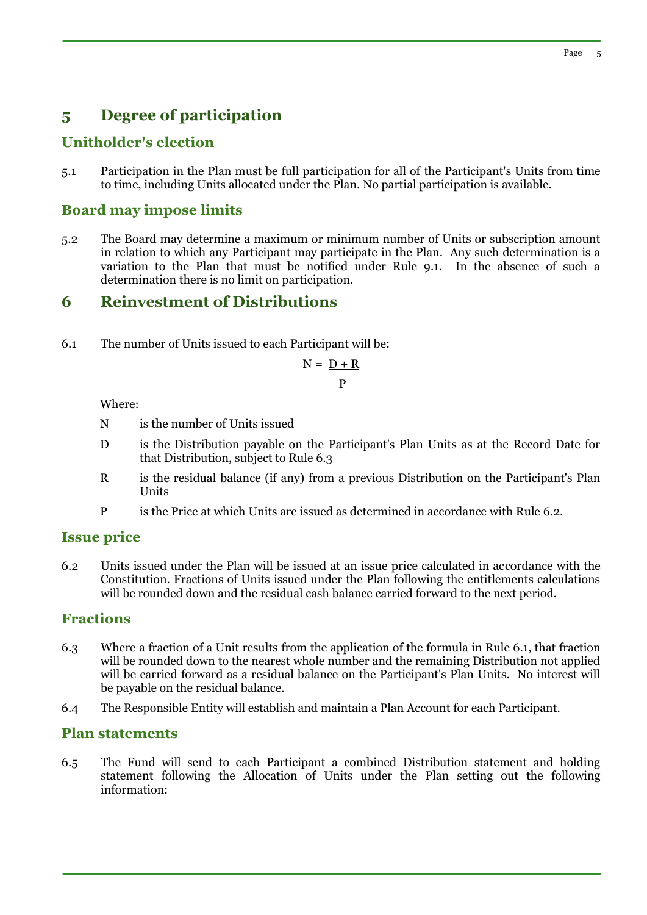# **5 Degree of participation**

# **Unitholder's election**

5.1 Participation in the Plan must be full participation for all of the Participant's Units from time to time, including Units allocated under the Plan. No partial participation is available.

# **Board may impose limits**

5.2 The Board may determine a maximum or minimum number of Units or subscription amount in relation to which any Participant may participate in the Plan. Any such determination is a variation to the Plan that must be notified under Rule 9.1. In the absence of such a determination there is no limit on participation.

# **6 Reinvestment of Distributions**

6.1 The number of Units issued to each Participant will be:

$$
N = \frac{D + R}{P}
$$

Where:

- N is the number of Units issued
- D is the Distribution payable on the Participant's Plan Units as at the Record Date for that Distribution, subject to Rule 6.3
- R is the residual balance (if any) from a previous Distribution on the Participant's Plan Units
- P is the Price at which Units are issued as determined in accordance with Rule 6.2.

### **Issue price**

6.2 Units issued under the Plan will be issued at an issue price calculated in accordance with the Constitution. Fractions of Units issued under the Plan following the entitlements calculations will be rounded down and the residual cash balance carried forward to the next period.

# **Fractions**

- 6.3 Where a fraction of a Unit results from the application of the formula in Rule 6.1, that fraction will be rounded down to the nearest whole number and the remaining Distribution not applied will be carried forward as a residual balance on the Participant's Plan Units. No interest will be payable on the residual balance.
- 6.4 The Responsible Entity will establish and maintain a Plan Account for each Participant.

## **Plan statements**

6.5 The Fund will send to each Participant a combined Distribution statement and holding statement following the Allocation of Units under the Plan setting out the following information: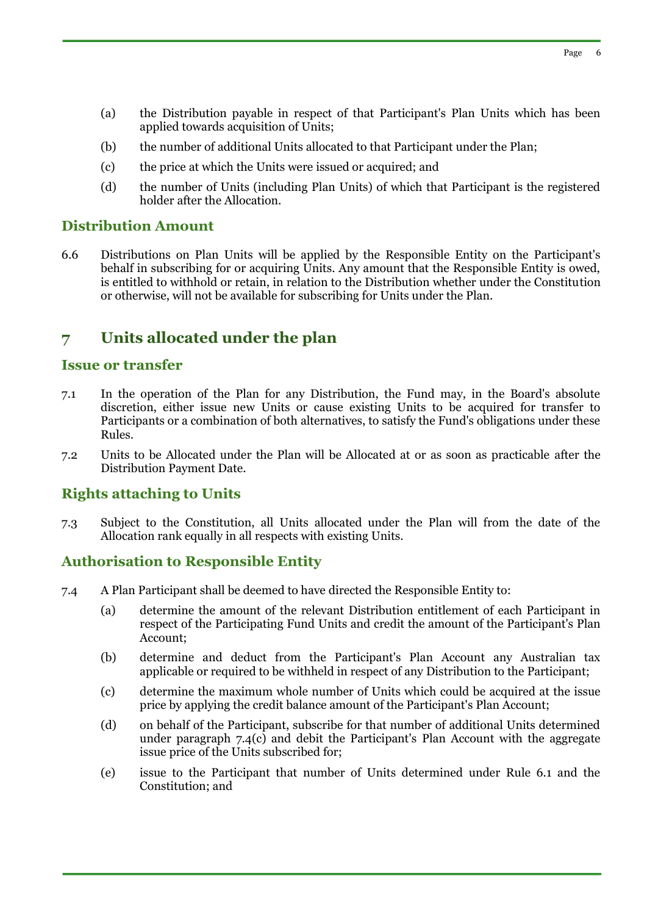- (a) the Distribution payable in respect of that Participant's Plan Units which has been applied towards acquisition of Units;
- (b) the number of additional Units allocated to that Participant under the Plan;
- (c) the price at which the Units were issued or acquired; and
- (d) the number of Units (including Plan Units) of which that Participant is the registered holder after the Allocation.

#### **Distribution Amount**

6.6 Distributions on Plan Units will be applied by the Responsible Entity on the Participant's behalf in subscribing for or acquiring Units. Any amount that the Responsible Entity is owed, is entitled to withhold or retain, in relation to the Distribution whether under the Constitution or otherwise, will not be available for subscribing for Units under the Plan.

# **7 Units allocated under the plan**

#### **Issue or transfer**

- 7.1 In the operation of the Plan for any Distribution, the Fund may, in the Board's absolute discretion, either issue new Units or cause existing Units to be acquired for transfer to Participants or a combination of both alternatives, to satisfy the Fund's obligations under these Rules.
- 7.2 Units to be Allocated under the Plan will be Allocated at or as soon as practicable after the Distribution Payment Date.

### **Rights attaching to Units**

7.3 Subject to the Constitution, all Units allocated under the Plan will from the date of the Allocation rank equally in all respects with existing Units.

### **Authorisation to Responsible Entity**

- 7.4 A Plan Participant shall be deemed to have directed the Responsible Entity to:
	- (a) determine the amount of the relevant Distribution entitlement of each Participant in respect of the Participating Fund Units and credit the amount of the Participant's Plan Account;
	- (b) determine and deduct from the Participant's Plan Account any Australian tax applicable or required to be withheld in respect of any Distribution to the Participant;
	- (c) determine the maximum whole number of Units which could be acquired at the issue price by applying the credit balance amount of the Participant's Plan Account;
	- (d) on behalf of the Participant, subscribe for that number of additional Units determined under paragraph 7.4(c) and debit the Participant's Plan Account with the aggregate issue price of the Units subscribed for;
	- (e) issue to the Participant that number of Units determined under Rule 6.1 and the Constitution; and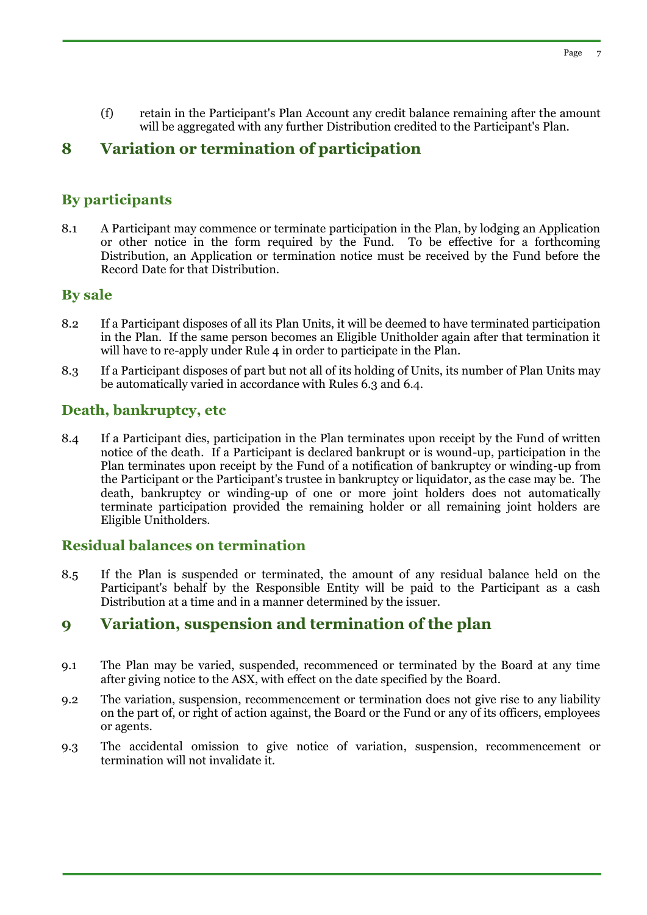(f) retain in the Participant's Plan Account any credit balance remaining after the amount will be aggregated with any further Distribution credited to the Participant's Plan.

# **8 Variation or termination of participation**

# **By participants**

8.1 A Participant may commence or terminate participation in the Plan, by lodging an Application or other notice in the form required by the Fund. To be effective for a forthcoming Distribution, an Application or termination notice must be received by the Fund before the Record Date for that Distribution.

# **By sale**

- 8.2 If a Participant disposes of all its Plan Units, it will be deemed to have terminated participation in the Plan. If the same person becomes an Eligible Unitholder again after that termination it will have to re-apply under Rule 4 in order to participate in the Plan.
- 8.3 If a Participant disposes of part but not all of its holding of Units, its number of Plan Units may be automatically varied in accordance with Rules 6.3 and 6.4.

# **Death, bankruptcy, etc**

8.4 If a Participant dies, participation in the Plan terminates upon receipt by the Fund of written notice of the death. If a Participant is declared bankrupt or is wound-up, participation in the Plan terminates upon receipt by the Fund of a notification of bankruptcy or winding-up from the Participant or the Participant's trustee in bankruptcy or liquidator, as the case may be. The death, bankruptcy or winding-up of one or more joint holders does not automatically terminate participation provided the remaining holder or all remaining joint holders are Eligible Unitholders.

# **Residual balances on termination**

8.5 If the Plan is suspended or terminated, the amount of any residual balance held on the Participant's behalf by the Responsible Entity will be paid to the Participant as a cash Distribution at a time and in a manner determined by the issuer.

# **9 Variation, suspension and termination of the plan**

- 9.1 The Plan may be varied, suspended, recommenced or terminated by the Board at any time after giving notice to the ASX, with effect on the date specified by the Board.
- 9.2 The variation, suspension, recommencement or termination does not give rise to any liability on the part of, or right of action against, the Board or the Fund or any of its officers, employees or agents.
- 9.3 The accidental omission to give notice of variation, suspension, recommencement or termination will not invalidate it.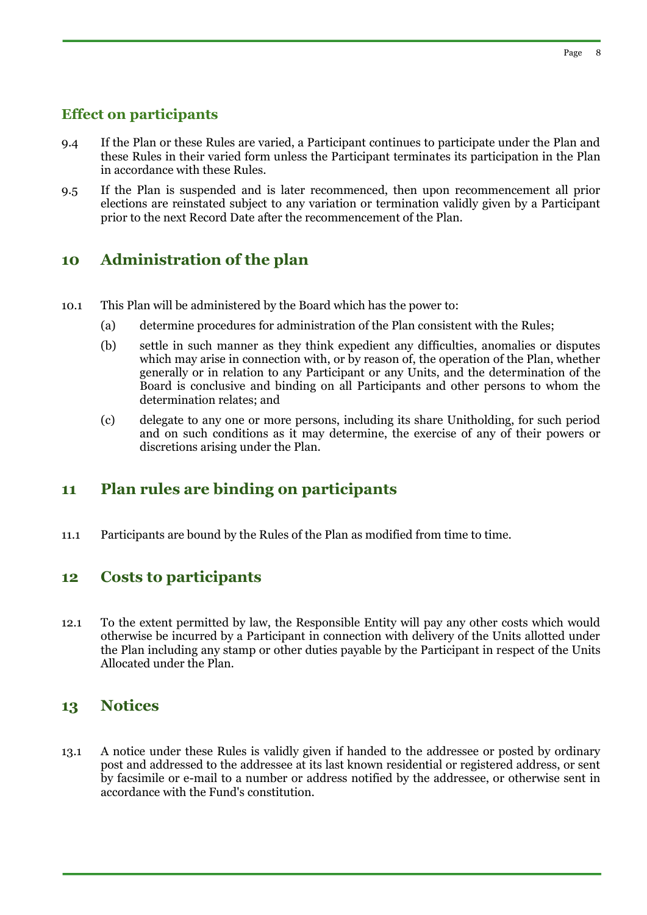## **Effect on participants**

- 9.4 If the Plan or these Rules are varied, a Participant continues to participate under the Plan and these Rules in their varied form unless the Participant terminates its participation in the Plan in accordance with these Rules.
- 9.5 If the Plan is suspended and is later recommenced, then upon recommencement all prior elections are reinstated subject to any variation or termination validly given by a Participant prior to the next Record Date after the recommencement of the Plan.

# **10 Administration of the plan**

- 10.1 This Plan will be administered by the Board which has the power to:
	- (a) determine procedures for administration of the Plan consistent with the Rules;
	- (b) settle in such manner as they think expedient any difficulties, anomalies or disputes which may arise in connection with, or by reason of, the operation of the Plan, whether generally or in relation to any Participant or any Units, and the determination of the Board is conclusive and binding on all Participants and other persons to whom the determination relates; and
	- (c) delegate to any one or more persons, including its share Unitholding, for such period and on such conditions as it may determine, the exercise of any of their powers or discretions arising under the Plan.

# **11 Plan rules are binding on participants**

11.1 Participants are bound by the Rules of the Plan as modified from time to time.

# **12 Costs to participants**

12.1 To the extent permitted by law, the Responsible Entity will pay any other costs which would otherwise be incurred by a Participant in connection with delivery of the Units allotted under the Plan including any stamp or other duties payable by the Participant in respect of the Units Allocated under the Plan.

### **13 Notices**

13.1 A notice under these Rules is validly given if handed to the addressee or posted by ordinary post and addressed to the addressee at its last known residential or registered address, or sent by facsimile or e-mail to a number or address notified by the addressee, or otherwise sent in accordance with the Fund's constitution.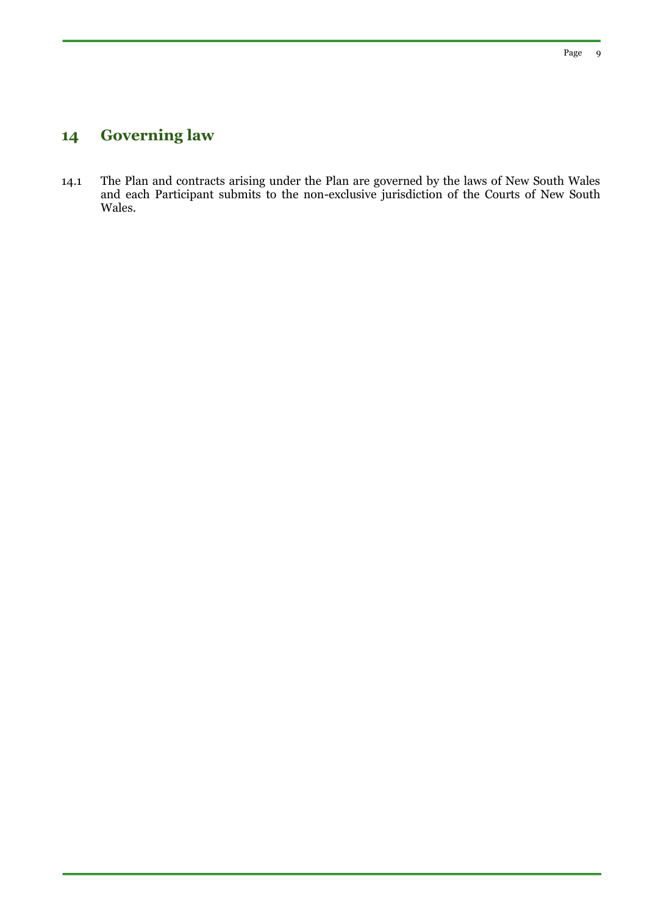# **14 Governing law**

14.1 The Plan and contracts arising under the Plan are governed by the laws of New South Wales and each Participant submits to the non-exclusive jurisdiction of the Courts of New South Wales.